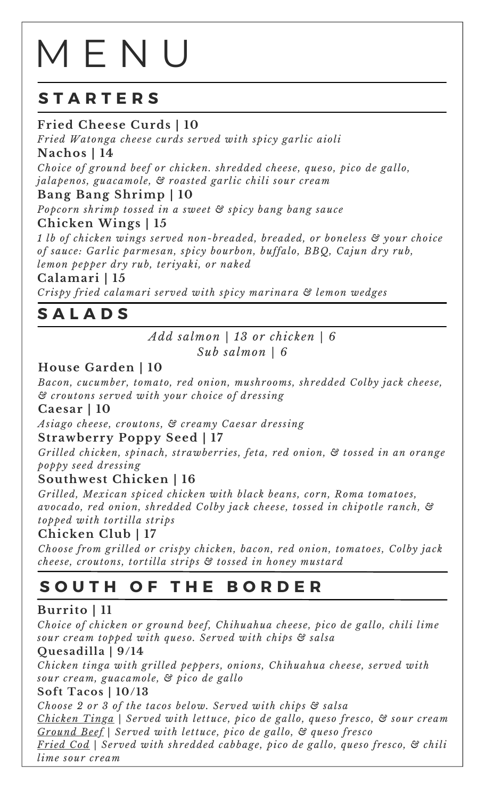# M E N U

# **S T A R T E R S**

# **Fried Cheese Curds | 10**

*Fried Watonga cheese curds served with spicy garlic aioli* **Nachos | 14**

*Choice of ground beef or chicken. shredded cheese, queso, pico de gallo, jalapenos, guacamole, & roasted garlic chili sour cream*

**Bang Bang Shrimp | 10**

*Popcorn shrimp tossed in a sweet & spicy bang bang sauce*

**Chicken Wings | 15**

*1 lb of chicken wings served non-breaded, breaded, or boneless & your choice of sauce: Garlic parmesan, spicy bourbon, buffalo, BBQ, Cajun dry rub, lemon pepper dry rub, teriyaki, or naked*

#### **Calamari | 15**

*Crispy fried calamari served with spicy marinara & lemon wedges*

# **S A L A D S**

*Add salmon | 13 or chicken | 6 Sub salmon | 6*

# **House Garden | 10**

*Bacon, cucumber, tomato, red onion, mushrooms, shredded Colby jack cheese, & croutons served with your choice of dressing*

#### **Caesar | 10**

*Asiago cheese, croutons, & creamy Caesar dressing*

#### **Strawberry Poppy Seed | 17**

*Grilled chicken, spinach, strawberries, feta, red onion, & tossed in an orange poppy seed dressing*

#### **Southwest Chicken | 16**

*Grilled, Mexican spiced chicken with black beans, corn, Roma tomatoes, avocado, red onion, shredded Colby jack cheese, tossed in chipotle ranch, & topped with tortilla strips*

## **Chicken Club | 17**

*Choose from grilled or crispy chicken, bacon, red onion, tomatoes, Colby jack cheese, croutons, tortilla strips & tossed in honey mustard*

# **S O U T H O F T H E B O R D E R**

## **Burrito | 11**

*Choice of chicken or ground beef, Chihuahua cheese, pico de gallo, chili lime sour cream topped with queso. Served with chips & salsa*

#### **Quesadilla | 9/14**

*Chicken tinga with grilled peppers, onions, Chihuahua cheese, served with sour cream, guacamole, & pico de gallo*

#### **Soft Tacos | 10/13**

*Choose 2 or 3 of the tacos below. Served with chips & salsa Chicken Tinga | Served with lettuce, pico de gallo, queso fresco, & sour cream Ground Beef | Served with lettuce, pico de gallo, & queso fresco Fried Cod | Served with shredded cabbage, pico de gallo, queso fresco, & chili lime sour cream*